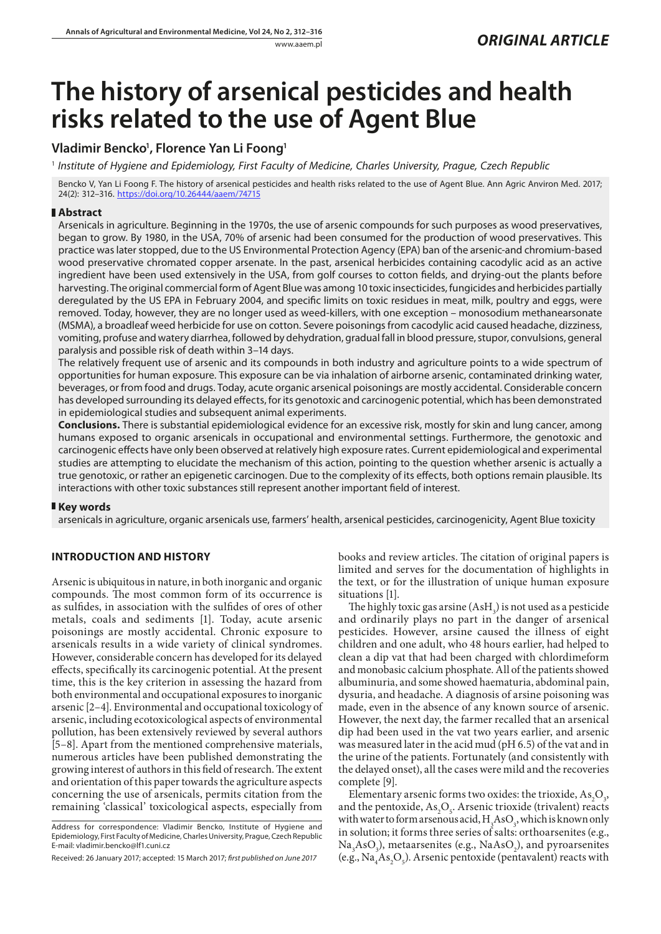# **The history of arsenical pesticides and health risks related to the use of Agent Blue**

# **Vladimir Bencko1 , Florence Yan Li Foong1**

1  *Institute of Hygiene and Epidemiology, First Faculty of Medicine, Charles University, Prague, Czech Republic*

Bencko V, Yan Li Foong F. The history of arsenical pesticides and health risks related to the use of Agent Blue. Ann Agric Anviron Med. 2017; 24(2): 312–316. <https://doi.org/10.26444/aaem/74715>

# **Abstract**

Arsenicals in agriculture. Beginning in the 1970s, the use of arsenic compounds for such purposes as wood preservatives, began to grow. By 1980, in the USA, 70% of arsenic had been consumed for the production of wood preservatives. This practice was later stopped, due to the US Environmental Protection Agency (EPA) ban of the arsenic-and chromium-based wood preservative chromated copper arsenate. In the past, arsenical herbicides containing cacodylic acid as an active ingredient have been used extensively in the USA, from golf courses to cotton fields, and drying-out the plants before harvesting. The original commercial form of Agent Blue was among 10 toxic insecticides, fungicides and herbicides partially deregulated by the US EPA in February 2004, and specific limits on toxic residues in meat, milk, poultry and eggs, were removed. Today, however, they are no longer used as weed-killers, with one exception – monosodium methanearsonate (MSMA), a broadleaf weed herbicide for use on cotton. Severe poisonings from cacodylic acid caused headache, dizziness, vomiting, profuse and watery diarrhea, followed by dehydration, gradual fall in blood pressure, stupor, convulsions, general paralysis and possible risk of death within 3–14 days.

The relatively frequent use of arsenic and its compounds in both industry and agriculture points to a wide spectrum of opportunities for human exposure. This exposure can be via inhalation of airborne arsenic, contaminated drinking water, beverages, or from food and drugs. Today, acute organic arsenical poisonings are mostly accidental. Considerable concern has developed surrounding its delayed effects, for its genotoxic and carcinogenic potential, which has been demonstrated in epidemiological studies and subsequent animal experiments.

**Conclusions.** There is substantial epidemiological evidence for an excessive risk, mostly for skin and lung cancer, among humans exposed to organic arsenicals in occupational and environmental settings. Furthermore, the genotoxic and carcinogenic effects have only been observed at relatively high exposure rates. Current epidemiological and experimental studies are attempting to elucidate the mechanism of this action, pointing to the question whether arsenic is actually a true genotoxic, or rather an epigenetic carcinogen. Due to the complexity of its effects, both options remain plausible. Its interactions with other toxic substances still represent another important field of interest.

# **Key words**

arsenicals in agriculture, organic arsenicals use, farmers' health, arsenical pesticides, carcinogenicity, Agent Blue toxicity

# **INTRODUCTION AND HISTORY**

Arsenic is ubiquitous in nature, in both inorganic and organic compounds. The most common form of its occurrence is as sulfides, in association with the sulfides of ores of other metals, coals and sediments [1]. Today, acute arsenic poisonings are mostly accidental. Chronic exposure to arsenicals results in a wide variety of clinical syndromes. However, considerable concern has developed for its delayed effects, specifically its carcinogenic potential. At the present time, this is the key criterion in assessing the hazard from both environmental and occupational exposures to inorganic arsenic [2–4]. Environmental and occupational toxicology of arsenic, including ecotoxicological aspects of environmental pollution, has been extensively reviewed by several authors [5–8]. Apart from the mentioned comprehensive materials, numerous articles have been published demonstrating the growing interest of authors in this field of research. The extent and orientation of this paper towards the agriculture aspects concerning the use of arsenicals, permits citation from the remaining 'classical' toxicological aspects, especially from

books and review articles. The citation of original papers is limited and serves for the documentation of highlights in the text, or for the illustration of unique human exposure situations [1].

The highly toxic gas arsine  $(AsH_3)$  is not used as a pesticide and ordinarily plays no part in the danger of arsenical pesticides. However, arsine caused the illness of eight children and one adult, who 48 hours earlier, had helped to clean a dip vat that had been charged with chlordimeform and monobasic calcium phosphate. All of the patients showed albuminuria, and some showed haematuria, abdominal pain, dysuria, and headache. A diagnosis of arsine poisoning was made, even in the absence of any known source of arsenic. However, the next day, the farmer recalled that an arsenical dip had been used in the vat two years earlier, and arsenic was measured later in the acid mud (pH 6.5) of the vat and in the urine of the patients. Fortunately (and consistently with the delayed onset), all the cases were mild and the recoveries complete [9].

Elementary arsenic forms two oxides: the trioxide,  $As_2O_3$ , and the pentoxide,  $As_2O_5$ . Arsenic trioxide (trivalent) reacts with water to form arsenous acid,  $H_3^ASO_3$ , which is known only in solution; it forms three series of salts: orthoarsenites (e.g.,  $Na<sub>3</sub>AsO<sub>3</sub>$ ), metaarsenites (e.g., NaAsO<sub>2</sub>), and pyroarsenites (e.g.,  $\text{Na}_4\text{As}_2\text{O}_5$ ). Arsenic pentoxide (pentavalent) reacts with

Address for correspondence: Vladimir Bencko, Institute of Hygiene and Epidemiology, First Faculty of Medicine, Charles University, Prague, Czech Republic E-mail: vladimir.bencko@lf1.cuni.cz

Received: 26 January 2017; accepted: 15 March 2017; *first published on June 2017*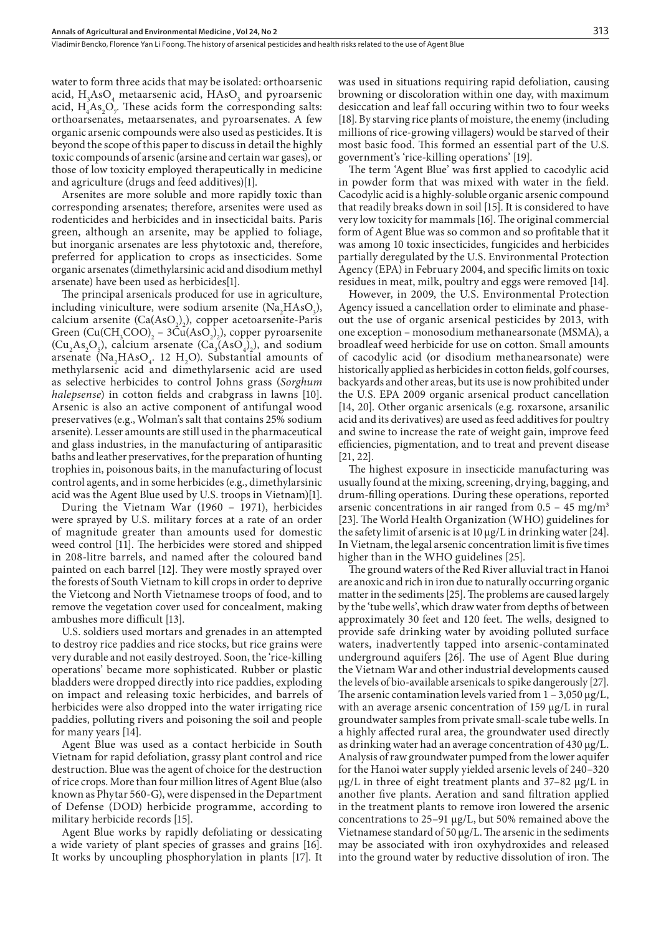water to form three acids that may be isolated: orthoarsenic acid,  $H_3AsO_4$  metaarsenic acid,  $HAsO_3$  and pyroarsenic acid,  $H_4As_2O_7$ . These acids form the corresponding salts: orthoarsenates, metaarsenates, and pyroarsenates. A few organic arsenic compounds were also used as pesticides. It is beyond the scope of this paper to discuss in detail the highly toxic compounds of arsenic (arsine and certain war gases), or those of low toxicity employed therapeutically in medicine and agriculture (drugs and feed additives)[1].

Arsenites are more soluble and more rapidly toxic than corresponding arsenates; therefore, arsenites were used as rodenticides and herbicides and in insecticidal baits. Paris green, although an arsenite, may be applied to foliage, but inorganic arsenates are less phytotoxic and, therefore, preferred for application to crops as insecticides. Some organic arsenates (dimethylarsinic acid and disodium methyl arsenate) have been used as herbicides[1].

The principal arsenicals produced for use in agriculture, including viniculture, were sodium arsenite  $(Na_2HAsO_3)$ , calcium arsenite  $(Ca(AsO<sub>2</sub>)<sub>2</sub>)$ , copper acetoarsenite-Paris Green  $\left(\text{Cu}(CH_3COO)\right)_2 - 3 \text{Cu}(AsO_2)_2$ ), copper pyroarsenite  $(Cu_2 As_2O_5)$ , calcium arsenate  $(Ca_3(AsO_4)_2)$ , and sodium arsenate ( $\text{Na}_2\text{HAsO}_4$ . 12 H<sub>2</sub>O). Substantial amounts of methylarsenic acid and dimethylarsenic acid are used as selective herbicides to control Johns grass (*Sorghum halepsense*) in cotton fields and crabgrass in lawns [10]. Arsenic is also an active component of antifungal wood preservatives (e.g., Wolman's salt that contains 25% sodium arsenite). Lesser amounts are still used in the pharmaceutical and glass industries, in the manufacturing of antiparasitic baths and leather preservatives, for the preparation of hunting trophies in, poisonous baits, in the manufacturing of locust control agents, and in some herbicides (e.g., dimethylarsinic acid was the Agent Blue used by U.S. troops in Vietnam)[1].

During the Vietnam War (1960 – 1971), herbicides were sprayed by U.S. military forces at a rate of an order of magnitude greater than amounts used for domestic weed control [11]. The herbicides were stored and shipped in 208-litre barrels, and named after the coloured band painted on each barrel [12]. They were mostly sprayed over the forests of South Vietnam to kill crops in order to deprive the Vietcong and North Vietnamese troops of food, and to remove the vegetation cover used for concealment, making ambushes more difficult [13].

U.S. soldiers used mortars and grenades in an attempted to destroy rice paddies and rice stocks, but rice grains were very durable and not easily destroyed. Soon, the 'rice-killing operations' became more sophisticated. Rubber or plastic bladders were dropped directly into rice paddies, exploding on impact and releasing toxic herbicides, and barrels of herbicides were also dropped into the water irrigating rice paddies, polluting rivers and poisoning the soil and people for many years [14].

Agent Blue was used as a contact herbicide in South Vietnam for rapid defoliation, grassy plant control and rice destruction. Blue was the agent of choice for the destruction of rice crops. More than four million litres of Agent Blue (also known as Phytar 560-G), were dispensed in the Department of Defense (DOD) herbicide programme, according to military herbicide records [15].

Agent Blue works by rapidly defoliating or dessicating a wide variety of plant species of grasses and grains [16]. It works by uncoupling phosphorylation in plants [17]. It was used in situations requiring rapid defoliation, causing browning or discoloration within one day, with maximum desiccation and leaf fall occuring within two to four weeks [18]. By starving rice plants of moisture, the enemy (including millions of rice-growing villagers) would be starved of their most basic food. This formed an essential part of the U.S. government's 'rice-killing operations' [19].

The term 'Agent Blue' was first applied to cacodylic acid in powder form that was mixed with water in the field. Cacodylic acid is a highly-soluble organic arsenic compound that readily breaks down in soil [15]. It is considered to have very low toxicity for mammals [16]. The original commercial form of Agent Blue was so common and so profitable that it was among 10 toxic insecticides, fungicides and herbicides partially deregulated by the U.S. Environmental Protection Agency (EPA) in February 2004, and specific limits on toxic residues in meat, milk, poultry and eggs were removed [14].

However, in 2009, the U.S. Environmental Protection Agency issued a cancellation order to eliminate and phaseout the use of organic arsenical pesticides by 2013, with one exception – monosodium methanearsonate (MSMA), a broadleaf weed herbicide for use on cotton. Small amounts of cacodylic acid (or disodium methanearsonate) were historically applied as herbicides in cotton fields, golf courses, backyards and other areas, but its use is now prohibited under the U.S. EPA 2009 organic arsenical product cancellation [14, 20]. Other organic arsenicals (e.g. roxarsone, arsanilic acid and its derivatives) are used as feed additives for poultry and swine to increase the rate of weight gain, improve feed efficiencies, pigmentation, and to treat and prevent disease [21, 22].

The highest exposure in insecticide manufacturing was usually found at the mixing, screening, drying, bagging, and drum-filling operations. During these operations, reported arsenic concentrations in air ranged from  $0.5 - 45$  mg/m<sup>3</sup> [23]. The World Health Organization (WHO) guidelines for the safety limit of arsenic is at 10 μg/L in drinking water [24]. In Vietnam, the legal arsenic concentration limit is five times higher than in the WHO guidelines [25].

The ground waters of the Red River alluvial tract in Hanoi are anoxic and rich in iron due to naturally occurring organic matter in the sediments [25]. The problems are caused largely by the 'tube wells', which draw water from depths of between approximately 30 feet and 120 feet. The wells, designed to provide safe drinking water by avoiding polluted surface waters, inadvertently tapped into arsenic-contaminated underground aquifers [26]. The use of Agent Blue during the Vietnam War and other industrial developments caused the levels of bio-available arsenicals to spike dangerously [27]. The arsenic contamination levels varied from  $1 - 3,050 \mu g/L$ , with an average arsenic concentration of 159 μg/L in rural groundwater samples from private small-scale tube wells. In a highly affected rural area, the groundwater used directly as drinking water had an average concentration of 430 μg/L. Analysis of raw groundwater pumped from the lower aquifer for the Hanoi water supply yielded arsenic levels of 240–320 μg/L in three of eight treatment plants and 37–82 μg/L in another five plants. Aeration and sand filtration applied in the treatment plants to remove iron lowered the arsenic concentrations to 25–91 μg/L, but 50% remained above the Vietnamese standard of 50 μg/L. The arsenic in the sediments may be associated with iron oxyhydroxides and released into the ground water by reductive dissolution of iron. The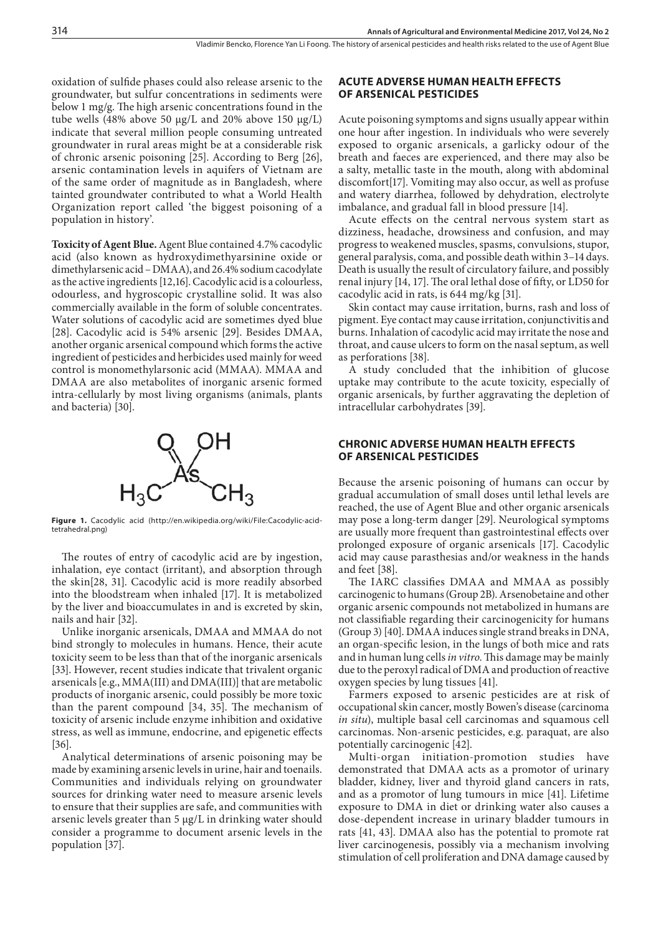oxidation of sulfide phases could also release arsenic to the groundwater, but sulfur concentrations in sediments were below 1 mg/g. The high arsenic concentrations found in the tube wells (48% above 50 μg/L and 20% above 150 μg/L) indicate that several million people consuming untreated groundwater in rural areas might be at a considerable risk of chronic arsenic poisoning [25]. According to Berg [26], arsenic contamination levels in aquifers of Vietnam are of the same order of magnitude as in Bangladesh, where tainted groundwater contributed to what a World Health Organization report called 'the biggest poisoning of a population in history'.

**Toxicity of Agent Blue.** Agent Blue contained 4.7% cacodylic acid (also known as hydroxydimethyarsinine oxide or dimethylarsenic acid – DMAA), and 26.4% sodium cacodylate as the active ingredients [12,16]. Cacodylic acid is a colourless, odourless, and hygroscopic crystalline solid. It was also commercially available in the form of soluble concentrates. Water solutions of cacodylic acid are sometimes dyed blue [28]. Cacodylic acid is 54% arsenic [29]. Besides DMAA, another organic arsenical compound which forms the active ingredient of pesticides and herbicides used mainly for weed control is monomethylarsonic acid (MMAA). MMAA and DMAA are also metabolites of inorganic arsenic formed intra-cellularly by most living organisms (animals, plants and bacteria) [30].



**Figure 1.** Cacodylic acid ([http://en.wikipedia.org/wiki/File:Cacodylic-acid](http://en.wikipedia.org/wiki/File:Cacodylic-acid-tetrahedral.png)[tetrahedral.png](http://en.wikipedia.org/wiki/File:Cacodylic-acid-tetrahedral.png))

The routes of entry of cacodylic acid are by ingestion, inhalation, eye contact (irritant), and absorption through the skin[28, 31]. Cacodylic acid is more readily absorbed into the bloodstream when inhaled [17]. It is metabolized by the liver and bioaccumulates in and is excreted by skin, nails and hair [32].

Unlike inorganic arsenicals, DMAA and MMAA do not bind strongly to molecules in humans. Hence, their acute toxicity seem to be less than that of the inorganic arsenicals [33]. However, recent studies indicate that trivalent organic arsenicals [e.g., MMA(III) and DMA(III)] that are metabolic products of inorganic arsenic, could possibly be more toxic than the parent compound [34, 35]. The mechanism of toxicity of arsenic include enzyme inhibition and oxidative stress, as well as immune, endocrine, and epigenetic effects [36].

Analytical determinations of arsenic poisoning may be made by examining arsenic levels in urine, hair and toenails. Communities and individuals relying on groundwater sources for drinking water need to measure arsenic levels to ensure that their supplies are safe, and communities with arsenic levels greater than 5 μg/L in drinking water should consider a programme to document arsenic levels in the population [37].

#### **ACUTE ADVERSE HUMAN HEALTH EFFECTS OF ARSENICAL PESTICIDES**

Acute poisoning symptoms and signs usually appear within one hour after ingestion. In individuals who were severely exposed to organic arsenicals, a garlicky odour of the breath and faeces are experienced, and there may also be a salty, metallic taste in the mouth, along with abdominal discomfort[17]. Vomiting may also occur, as well as profuse and watery diarrhea, followed by dehydration, electrolyte imbalance, and gradual fall in blood pressure [14].

Acute effects on the central nervous system start as dizziness, headache, drowsiness and confusion, and may progress to weakened muscles, spasms, convulsions, stupor, general paralysis, coma, and possible death within 3–14 days. Death is usually the result of circulatory failure, and possibly renal injury [14, 17]. The oral lethal dose of fifty, or LD50 for cacodylic acid in rats, is 644 mg/kg [31].

Skin contact may cause irritation, burns, rash and loss of pigment. Eye contact may cause irritation, conjunctivitis and burns. Inhalation of cacodylic acid may irritate the nose and throat, and cause ulcers to form on the nasal septum, as well as perforations [38].

A study concluded that the inhibition of glucose uptake may contribute to the acute toxicity, especially of organic arsenicals, by further aggravating the depletion of intracellular carbohydrates [39].

### **CHRONIC ADVERSE HUMAN HEALTH EFFECTS OF ARSENICAL PESTICIDES**

Because the arsenic poisoning of humans can occur by gradual accumulation of small doses until lethal levels are reached, the use of Agent Blue and other organic arsenicals may pose a long-term danger [29]. Neurological symptoms are usually more frequent than gastrointestinal effects over prolonged exposure of organic arsenicals [17]. Cacodylic acid may cause parasthesias and/or weakness in the hands and feet [38].

The IARC classifies DMAA and MMAA as possibly carcinogenic to humans (Group 2B). Arsenobetaine and other organic arsenic compounds not metabolized in humans are not classifiable regarding their carcinogenicity for humans (Group 3) [40]. DMAA induces single strand breaks in DNA, an organ-specific lesion, in the lungs of both mice and rats and in human lung cells *in vitro*. This damage may be mainly due to the peroxyl radical of DMA and production of reactive oxygen species by lung tissues [41].

Farmers exposed to arsenic pesticides are at risk of occupational skin cancer, mostly Bowen's disease (carcinoma *in situ*), multiple basal cell carcinomas and squamous cell carcinomas. Non-arsenic pesticides, e.g. paraquat, are also potentially carcinogenic [42].

Multi-organ initiation-promotion studies have demonstrated that DMAA acts as a promotor of urinary bladder, kidney, liver and thyroid gland cancers in rats, and as a promotor of lung tumours in mice [41]. Lifetime exposure to DMA in diet or drinking water also causes a dose-dependent increase in urinary bladder tumours in rats [41, 43]. DMAA also has the potential to promote rat liver carcinogenesis, possibly via a mechanism involving stimulation of cell proliferation and DNA damage caused by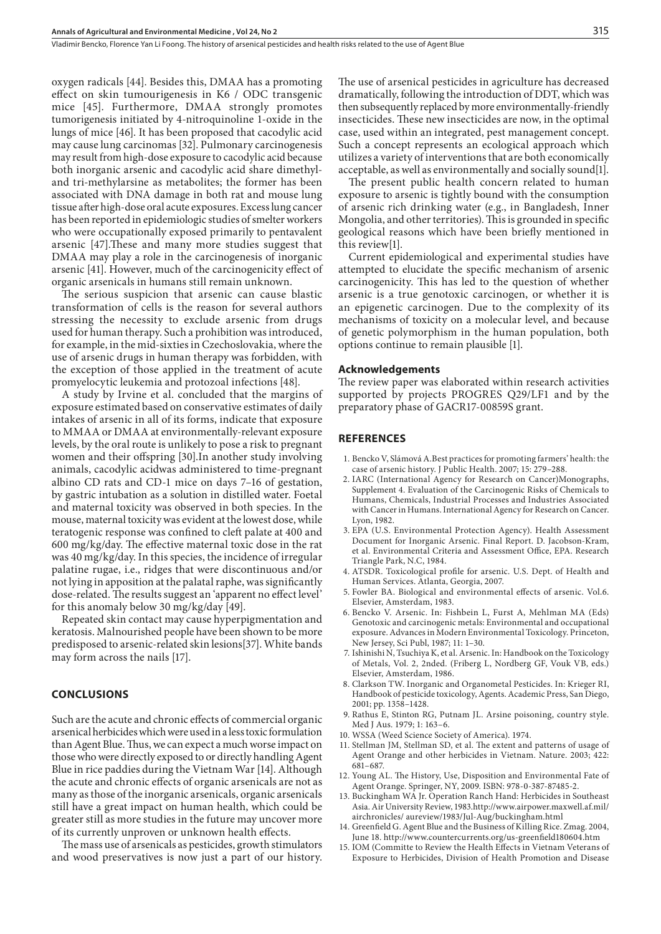oxygen radicals [44]. Besides this, DMAA has a promoting effect on skin tumourigenesis in K6 / ODC transgenic mice [45]. Furthermore, DMAA strongly promotes tumorigenesis initiated by 4-nitroquinoline 1-oxide in the lungs of mice [46]. It has been proposed that cacodylic acid may cause lung carcinomas [32]. Pulmonary carcinogenesis may result from high-dose exposure to cacodylic acid because both inorganic arsenic and cacodylic acid share dimethyland tri-methylarsine as metabolites; the former has been associated with DNA damage in both rat and mouse lung tissue after high-dose oral acute exposures. Excess lung cancer has been reported in epidemiologic studies of smelter workers who were occupationally exposed primarily to pentavalent arsenic [47].These and many more studies suggest that DMAA may play a role in the carcinogenesis of inorganic arsenic [41]. However, much of the carcinogenicity effect of organic arsenicals in humans still remain unknown.

The serious suspicion that arsenic can cause blastic transformation of cells is the reason for several authors stressing the necessity to exclude arsenic from drugs used for human therapy. Such a prohibition was introduced, for example, in the mid-sixties in Czechoslovakia, where the use of arsenic drugs in human therapy was forbidden, with the exception of those applied in the treatment of acute promyelocytic leukemia and protozoal infections [48].

A study by Irvine et al. concluded that the margins of exposure estimated based on conservative estimates of daily intakes of arsenic in all of its forms, indicate that exposure to MMAA or DMAA at environmentally-relevant exposure levels, by the oral route is unlikely to pose a risk to pregnant women and their offspring [30].In another study involving animals, cacodylic acidwas administered to time-pregnant albino CD rats and CD-1 mice on days 7–16 of gestation, by gastric intubation as a solution in distilled water. Foetal and maternal toxicity was observed in both species. In the mouse, maternal toxicity was evident at the lowest dose, while teratogenic response was confined to cleft palate at 400 and 600 mg/kg/day. The effective maternal toxic dose in the rat was 40 mg/kg/day. In this species, the incidence of irregular palatine rugae, i.e., ridges that were discontinuous and/or not lying in apposition at the palatal raphe, was significantly dose-related. The results suggest an 'apparent no effect level' for this anomaly below 30 mg/kg/day [49].

Repeated skin contact may cause hyperpigmentation and keratosis. Malnourished people have been shown to be more predisposed to arsenic-related skin lesions[37]. White bands may form across the nails [17].

# **CONCLUSIONS**

Such are the acute and chronic effects of commercial organic arsenical herbicides which were used in a less toxic formulation than Agent Blue. Thus, we can expect a much worse impact on those who were directly exposed to or directly handling Agent Blue in rice paddies during the Vietnam War [14]. Although the acute and chronic effects of organic arsenicals are not as many as those of the inorganic arsenicals, organic arsenicals still have a great impact on human health, which could be greater still as more studies in the future may uncover more of its currently unproven or unknown health effects.

The mass use of arsenicals as pesticides, growth stimulators and wood preservatives is now just a part of our history. The use of arsenical pesticides in agriculture has decreased dramatically, following the introduction of DDT, which was then subsequently replaced by more environmentally-friendly insecticides. These new insecticides are now, in the optimal case, used within an integrated, pest management concept. Such a concept represents an ecological approach which utilizes a variety of interventions that are both economically acceptable, as well as environmentally and socially sound[1].

The present public health concern related to human exposure to arsenic is tightly bound with the consumption of arsenic rich drinking water (e.g., in Bangladesh, Inner Mongolia, and other territories). This is grounded in specific geological reasons which have been briefly mentioned in this review[1].

Current epidemiological and experimental studies have attempted to elucidate the specific mechanism of arsenic carcinogenicity. This has led to the question of whether arsenic is a true genotoxic carcinogen, or whether it is an epigenetic carcinogen. Due to the complexity of its mechanisms of toxicity on a molecular level, and because of genetic polymorphism in the human population, both options continue to remain plausible [1].

#### **Acknowledgements**

The review paper was elaborated within research activities supported by projects PROGRES Q29/LF1 and by the preparatory phase of GACR17-00859S grant.

#### **REFERENCES**

- 1. Bencko V, Slámová A.Best practices for promoting farmers' health: the case of arsenic history. J Public Health. 2007; 15: 279–288.
- 2. IARC (International Agency for Research on Cancer)Monographs, Supplement 4. Evaluation of the Carcinogenic Risks of Chemicals to Humans, Chemicals, Industrial Processes and Industries Associated with Cancer in Humans. International Agency for Research on Cancer. Lyon, 1982.
- 3. EPA (U.S. Environmental Protection Agency). Health Assessment Document for Inorganic Arsenic. Final Report. D. Jacobson-Kram, et al. Environmental Criteria and Assessment Office, EPA. Research Triangle Park, N.C, 1984.
- 4. ATSDR. Toxicological profile for arsenic. U.S. Dept. of Health and Human Services. Atlanta, Georgia, 2007.
- 5. Fowler BA. Biological and environmental effects of arsenic. Vol.6. Elsevier, Amsterdam, 1983.
- 6. Bencko V. Arsenic. In: Fishbein L, Furst A, Mehlman MA (Eds) Genotoxic and carcinogenic metals: Environmental and occupational exposure. Advances in Modern Environmental Toxicology. Princeton, New Jersey, Sci Publ, 1987; 11: 1–30.
- 7. Ishinishi N, Tsuchiya K, et al. Arsenic. In: Handbook on the Toxicology of Metals, Vol. 2, 2nded. (Friberg L, Nordberg GF, Vouk VB, eds.) Elsevier, Amsterdam, 1986.
- 8. Clarkson TW. Inorganic and Organometal Pesticides. In: Krieger RI, Handbook of pesticide toxicology, Agents. Academic Press, San Diego, 2001; pp. 1358–1428.
- 9. Rathus E, Stinton RG, Putnam JL. Arsine poisoning, country style. Med J Aus. 1979; 1: 163–6.
- 10. WSSA (Weed Science Society of America). 1974.
- 11. Stellman JM, Stellman SD, et al. The extent and patterns of usage of Agent Orange and other herbicides in Vietnam. Nature. 2003; 422: 681–687.
- 12. Young AL. The History, Use, Disposition and Environmental Fate of Agent Orange. Springer, NY, 2009. ISBN: 978-0-387-87485-2.
- 13. Buckingham WA Jr. Operation Ranch Hand: Herbicides in Southeast Asia. Air University Review, 1983.http://www.airpower.maxwell.af.mil/ airchronicles/ aureview/1983/Jul-Aug/buckingham.html
- 14. Greenfield G. Agent Blue and the Business of Killing Rice. Zmag. 2004, June 18. http://www.countercurrents.org/us-greenfield180604.htm
- 15. IOM (Committe to Review the Health Effects in Vietnam Veterans of Exposure to Herbicides, Division of Health Promotion and Disease